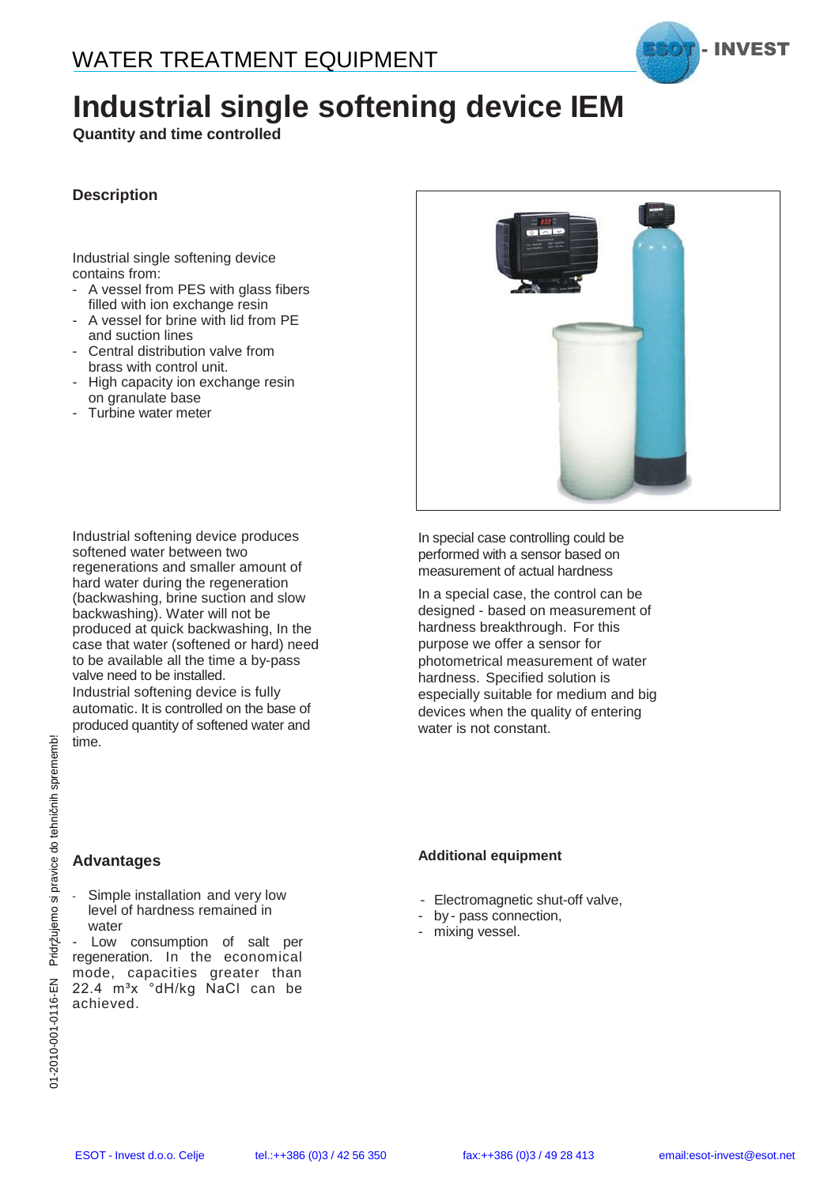

## **Industrial single softening device IEM**

**Quantity and time controlled**

#### **Description**

Industrial single softening device contains from:

- A vessel from PES with glass fibers filled with ion exchange resin
- A vessel for brine with lid from PE and suction lines
- Central distribution valve from brass with control unit.
- High capacity ion exchange resin on granulate base
- Turbine water meter

Industrial softening device produces softened water between two regenerations and smaller amount of hard water during the regeneration (backwashing, brine suction and slow backwashing). Water will not be produced at quick backwashing, In the case that water (softened or hard) need to be available all the time a by-pass valve need to be installed. Industrial softening device is fully automatic. It is controlled on the base of produced quantity of softened water and time.

In special case controlling could be performed with a sensor based on measurement of actual hardness

In a special case, the control can be designed - based on measurement of hardness breakthrough. For this purpose we offer a sensor for photometrical measurement of water hardness. Specified solution is especially suitable for medium and big devices when the quality of entering water is not constant.

#### **Advantages**

Simple installation and very low level of hardness remained in water

Fraction<br>
Fraction<br>
Enterpretation<br>
Simple installation and very low<br>
level of hardness remained in<br>
level of hardness remained in<br>
level of hardness remained in<br>
regeneration. In the economical<br>
mode, capacities greater regeneration. In the economical mode, capacities greater than 22.4 m<sup>3</sup>x °dH/kg NaCl can be achieved.

#### **Additional equipment**

- Electromagnetic shut-off valve,
- by pass connection,
- mixing vessel.